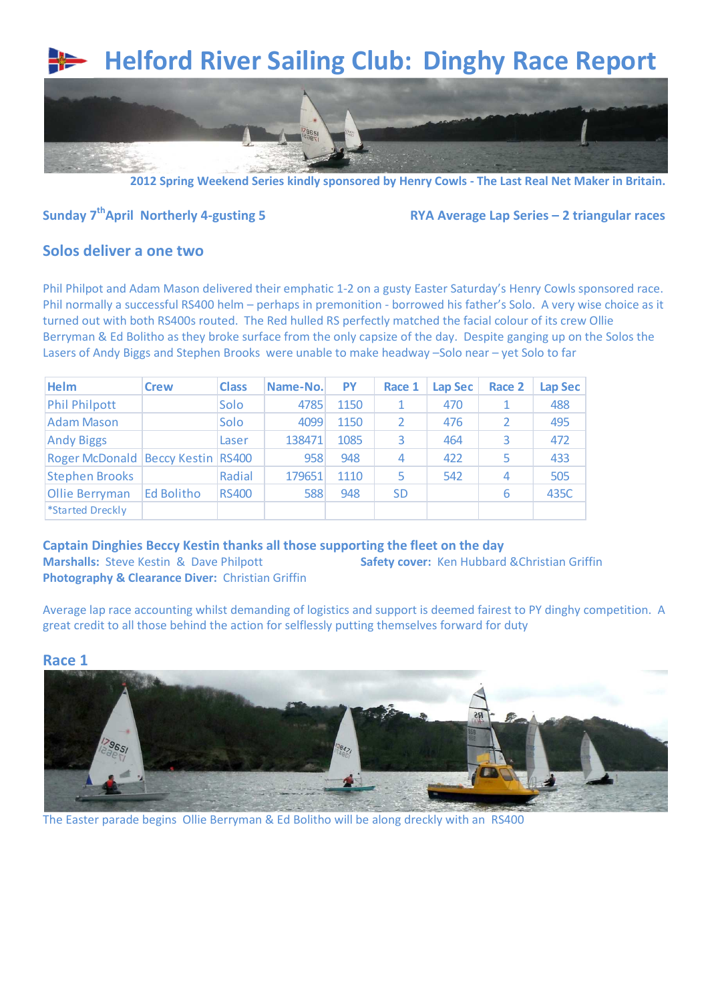# **Helford River Sailing Club: Dinghy Race Report**



**2012 Spring Weekend Series kindly sponsored by Henry Cowls - The Last Real Net Maker in Britain.**

## **Sunday 7thApril Northerly 4-gusting 5 RYA Average Lap Series – 2 triangular races**

#### **Solos deliver a one two**

Phil Philpot and Adam Mason delivered their emphatic 1-2 on a gusty Easter Saturday's Henry Cowls sponsored race. Phil normally a successful RS400 helm – perhaps in premonition - borrowed his father's Solo. A very wise choice as it turned out with both RS400s routed. The Red hulled RS perfectly matched the facial colour of its crew Ollie Berryman & Ed Bolitho as they broke surface from the only capsize of the day. Despite ganging up on the Solos the Lasers of Andy Biggs and Stephen Brooks were unable to make headway –Solo near – yet Solo to far

| <b>Helm</b>                           | <b>Crew</b> | <b>Class</b> | Name-No. | <b>PY</b> | Race 1    | <b>Lap Sec</b> | Race 2 | Lap Sec |
|---------------------------------------|-------------|--------------|----------|-----------|-----------|----------------|--------|---------|
| <b>Phil Philpott</b>                  |             | Solo         | 4785     | 1150      |           | 470            |        | 488     |
| <b>Adam Mason</b>                     |             | Solo         | 4099     | 1150      |           | 476            | 2      | 495     |
| <b>Andy Biggs</b>                     |             | Laser        | 138471   | 1085      |           | 464            | 3      | 472     |
| Roger McDonald   Beccy Kestin   RS400 |             |              | 958      | 948       | 4         | 422            | 5      | 433     |
| <b>Stephen Brooks</b>                 |             | Radial       | 179651   | 1110      |           | 542            | 4      | 505     |
| <b>Ollie Berryman</b>                 | Ed Bolitho  | <b>RS400</b> | 588      | 948       | <b>SD</b> |                | 6      | 435C    |
| *Started Dreckly                      |             |              |          |           |           |                |        |         |

**Captain Dinghies Beccy Kestin thanks all those supporting the fleet on the day Marshalls:** Steve Kestin & Dave Philpott **Safety cover:** Ken Hubbard &Christian Griffin **Photography & Clearance Diver:** Christian Griffin

Average lap race accounting whilst demanding of logistics and support is deemed fairest to PY dinghy competition. A great credit to all those behind the action for selflessly putting themselves forward for duty

#### **Race 1**



The Easter parade begins Ollie Berryman & Ed Bolitho will be along dreckly with an RS400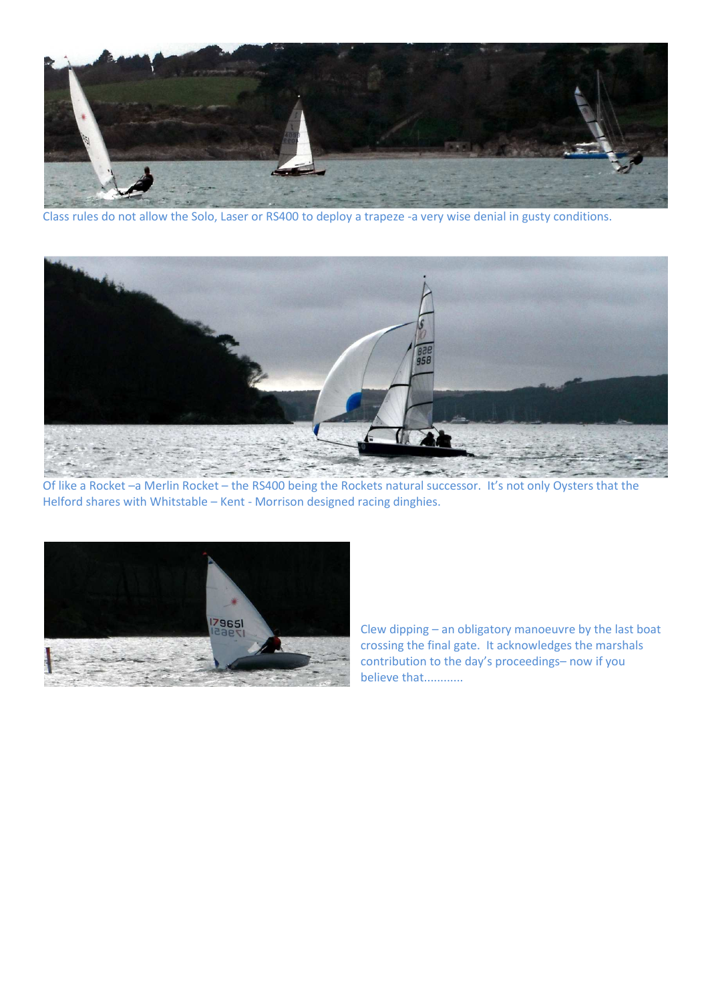

Class rules do not allow the Solo, Laser or RS400 to deploy a trapeze -a very wise denial in gusty conditions.



Of like a Rocket –a Merlin Rocket – the RS400 being the Rockets natural successor. It's not only Oysters that the Helford shares with Whitstable – Kent - Morrison designed racing dinghies.



Clew dipping – an obligatory manoeuvre by the last boat crossing the final gate. It acknowledges the marshals contribution to the day's proceedings– now if you believe that............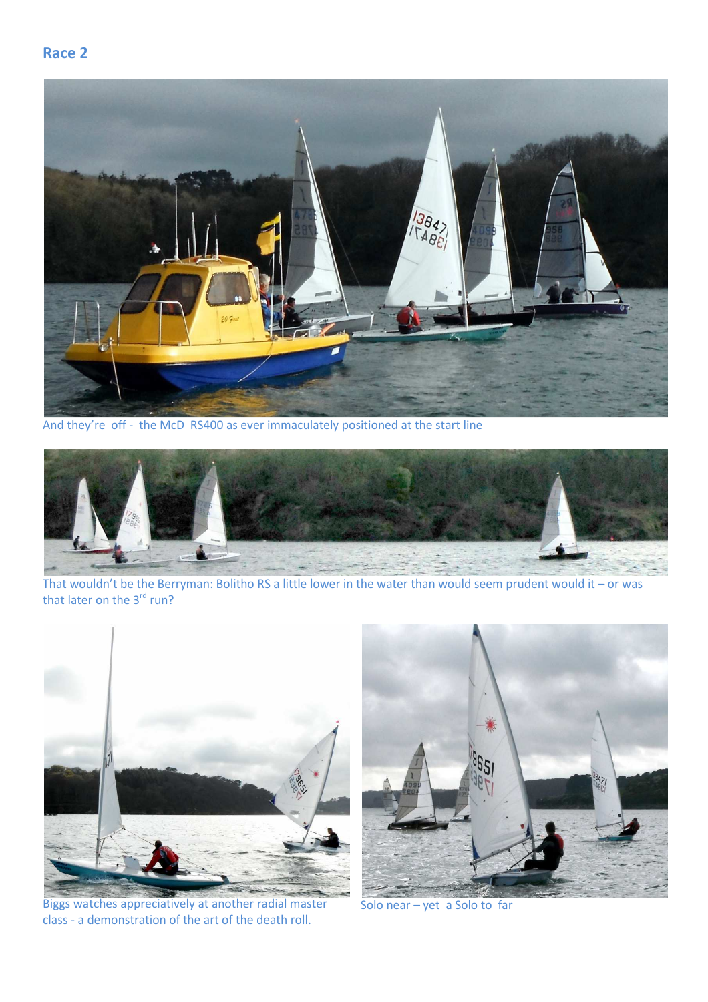### **Race 2**



And they're off - the McD RS400 as ever immaculately positioned at the start line



That wouldn't be the Berryman: Bolitho RS a little lower in the water than would seem prudent would it – or was that later on the 3<sup>rd</sup> run?



Biggs watches appreciatively at another radial master class - a demonstration of the art of the death roll.



Solo near – yet a Solo to far